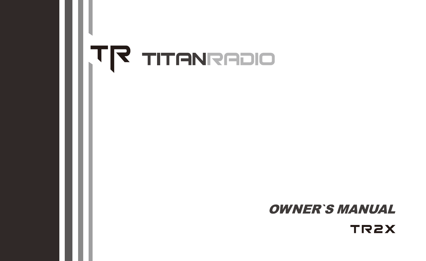# OIGERNATIT FIT

# **OWNER'S MANUAL**

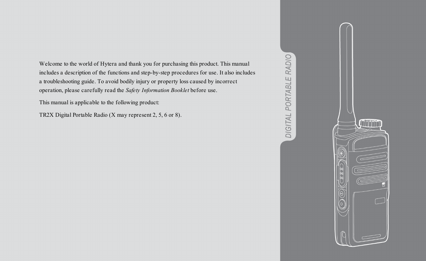Welcome to the world of Hytera and thank you for purchasing this product. This manual includes a description of the functions and step-by-step procedures for use. It also includes a troubleshooting guide. To avoid bodily injury or property loss caused by incorrect operation, please carefully read the *Safety Information Booklet* before use.

This manual is applicable to the following product:

TR2X Digital Portable Radio (X may represent 2, 5, 6 or 8).



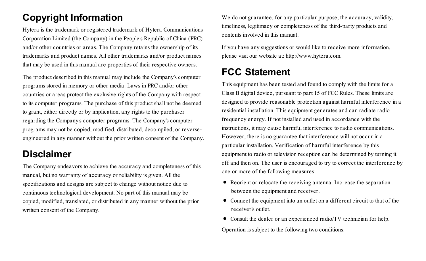## **Copyright Information**

Hytera is the trademark or registered trademark of Hytera Communications Corporation Limited (the Company) in the People's Republic of China (PRC) and/or other countries or areas. The Company retains the ownership of its trademarks and product names. All other trademarks and/or product names that may be used in this manual are properties of their respective owners.

The product described in this manual may include the Company's computer programs stored in memory or other media. Laws in PRC and/or other countries or areas protect the exclusive rights of the Company with respect to its computer programs. The purchase of this product shall not be deemed to grant, either directly or by implication, any rights to the purchaser regarding the Company's computer programs. The Company's computer programs may not be copied, modified, distributed, decompiled, or reverseengineered in any manner without the prior written consent of the Company.

#### **Disclaimer**

The Company endeavors to achieve the accuracy and completeness of this manual, but no warranty of accuracy or reliability is given. All the specifications and designs are subject to change without notice due to continuous technological development. No part of this manual may be copied, modified, translated, or distributed in any manner without the prior written consent of the Company.

We do not guarantee, for any particular purpose, the accuracy, validity, timeliness, legitimacy or completeness of the third-party products and contents involved in this manual.

If you have any suggestions or would like to receive more information, please visit our website at: http://www.hytera.com.

## **FCC Statement**

This equipment has been tested and found to comply with the limits for a Class B digital device, pursuant to part 15 of FCC Rules. These limits are designed to provide reasonable protection against harmful interference in a residential installation. This equipment generates and can radiate radio frequency energy. If not installed and used in accordance with the instructions, it may cause harmful interference to radio communications. However, there is no guarantee that interference will not occur in a particular installation. Verification of harmful interference by this equipment to radio or television reception can be determined by turning it off and then on. The user is encouraged to try to correct the interference by one or more of the following measures:

- Reorient or relocate the receiving antenna. Increase the separation between the equipment and receiver.
- · Connect the equipment into an outlet on a different circuit to that of the receiver's outlet.
- · Consult the dealer or an experienced radio/TV technician for help. Operation is subject to the following two conditions: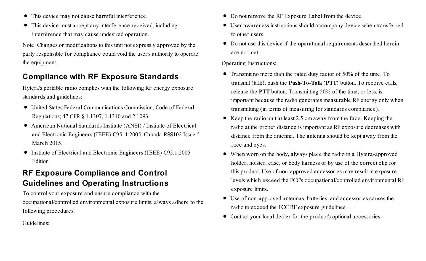- · This device may not cause harmful interference.
- · This device must accept any interference received, including interference that may cause undesired operation.

Note: Changes or modifications to this unit not expressly approved by the party responsible for compliance could void the user's authority to operate the equipment.

#### **Compliance with RF Exposure Standards**

Hytera's portable radio complies with the following RF energy exposure standards and guidelines:

- · United States Federal Communications Commission, Code of Federal Regulations; 47 CFR § 1.1307, 1.1310 and 2.1093.
- · American National Standards Institute (ANSI) / Institute of Electrical and Electronic Engineers (IEEE) C95. 1:2005; Canada RSS102 Issue 5 March 2015.
- · Institute of Electrical and Electronic Engineers (IEEE) C95.1:2005 Edition

#### **RF Exposure Compliance and Control Guidelines and Operating Instructions**

To control your exposure and ensure compliance with the occupational/controlled environmental exposure limits, always adhere to the following procedures.

Guidelines:

- · Do not remove the RF Exposure Label from the device.
- · User awareness instructions should accompany device when transferred to other users.
- · Do not use this device if the operational requirements described herein are not met.

Operating Instructions:

- · Transmit no more than the rated duty factor of 50% of the time. To transmit (talk), push the **Push-To-Talk** (**PTT**) button. To receive calls, release the **PTT** button. Transmitting 50% of the time, or less, is important because the radio generates measurable RF energy only when transmitting (in terms of measuring for standards compliance).
- Keep the radio unit at least 2.5 cm away from the face. Keeping the radio at the proper distance is important as RF exposure decreases with distance from the antenna. The antenna should be kept away from the face and eyes.
- · When worn on the body, always place the radio in a Hytera-approved holder, holster, case, or body harness or by use of the correct clip for this product. Use of non-approved accessories may result in exposure levels which exceed the FCC's occupational/controlled environmental RF exposure limits.
- · Use of non-approved antennas, batteries, and accessories causes the radio to exceed the FCC RF exposure guidelines.
- · Contact your local dealer for the product's optional accessories.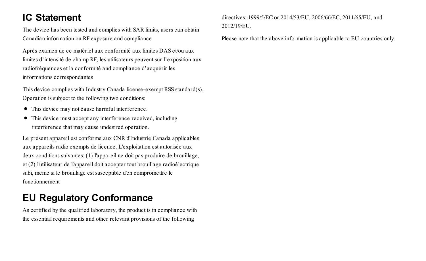## **IC Statement**

The device has been tested and complies with SAR limits, users can obtain Canadian information on RF exposure and compliance

Après examen de ce matériel aux conformité aux limites DAS et/ou aux limites d'intensité de champ RF, les utilisateurs peuvent sur l'exposition aux radiofréquences et la conformité and compliance d'acquérir les informations correspondantes

This device complies with Industry Canada license-exempt RSS standard(s). Operation is subject to the following two conditions:

- · This device may not cause harmful interference.
- This device must accept any interference received, including interference that may cause undesired operation.

Le présent appareil est conforme aux CNR d'Industrie Canada applicables aux appareils radio exempts de licence. L'exploitation est autorisée aux deux conditions suivantes: (1) l'appareil ne doit pas produire de brouillage, et (2) l'utilisateur de l'appareil doit accepter tout brouillage radioélectrique subi, même si le brouillage est susceptible d'en compromettre le fonctionnement

## **EU Regulatory Conformance**

As certified by the qualified laboratory, the product is in compliance with the essential requirements and other relevant provisions of the following

directives: 1999/5/EC or 2014/53/EU, 2006/66/EC, 2011/65/EU, and 2012/19/EU.

Please note that the above information is applicable to EU countries only.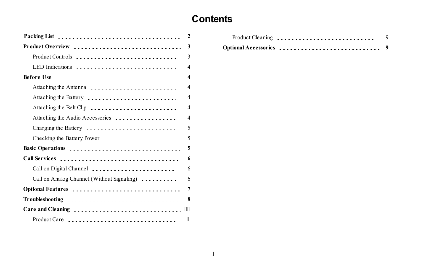#### Product Cleaning 9 and 200 percent Cleaning 9 and 200 percent **Contents**

|                                            | $\mathbf{2}$     |
|--------------------------------------------|------------------|
| Product Overview                           | 3                |
| Product Controls                           | 3                |
| LED Indications                            | $\overline{4}$   |
|                                            | $\boldsymbol{4}$ |
| Attaching the Antenna                      | $\overline{4}$   |
| Attaching the Battery                      | $\overline{4}$   |
| Attaching the Belt Clip                    | $\overline{4}$   |
| Attaching the Audio Accessories            | $\overline{4}$   |
| Charging the Battery                       | 5                |
| Checking the Battery Power                 | 5                |
| Basic Operations                           | 5                |
| Call Services                              | 6                |
| Call on Digital Channel                    | 6                |
| Call on Analog Channel (Without Signaling) | 6                |
| Optional Features                          | 7                |
| Troubleshooting                            | 8                |
| Care and Cleaning                          |                  |
| Product Care                               |                  |

| Product Cleaning | - 9 |
|------------------|-----|
|                  |     |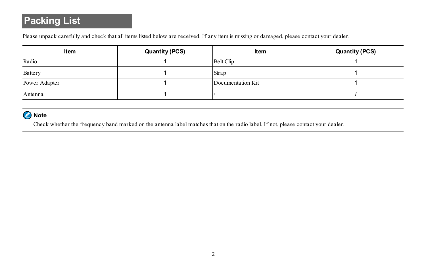# **Packing List**

Please unpack carefully and check that all items listed below are received. If any item is missing or damaged, please contact your dealer.

| Item          | Quantity (PCS) | Item              | Quantity (PCS) |
|---------------|----------------|-------------------|----------------|
| Radio         |                | Belt Clip         |                |
| Battery       |                | Strap             |                |
| Power Adapter |                | Documentation Kit |                |
| Antenna       |                |                   |                |

#### Note

Check whether the frequency band marked on the antenna label matches that on the radio label. If not, please contact your dealer.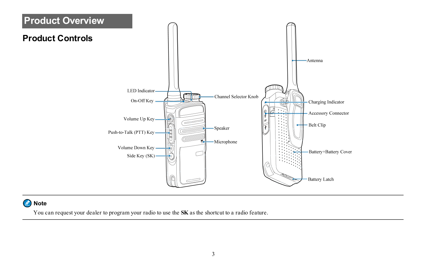

#### Note

You can request your dealer to program your radio to use the **SK** as the shortcut to a radio feature.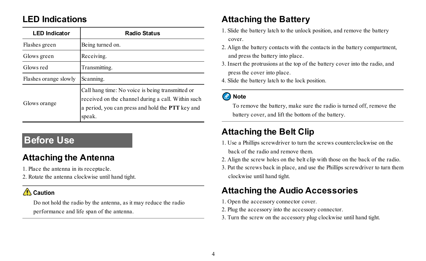#### **LED Indications**

| <b>LED</b> Indicator  | <b>Radio Status</b>                                                                                                                                                  |
|-----------------------|----------------------------------------------------------------------------------------------------------------------------------------------------------------------|
| Flashes green         | Being turned on.                                                                                                                                                     |
| Glows green           | Receiving.                                                                                                                                                           |
| Glows red             | Transmitting.                                                                                                                                                        |
| Flashes orange slowly | Scanning.                                                                                                                                                            |
| Glows orange          | Call hang time: No voice is being transmitted or<br>received on the channel during a call. Within such<br>a period, you can press and hold the PTT key and<br>speak. |

#### **Before Use**

#### **Attaching the Antenna**

- 1. Place the antenna in its receptacle.
- 2. Rotate the antenna clockwise until hand tight.

#### $\bigwedge$  Caution

Do not hold the radio by the antenna, as it may reduce the radio performance and life span of the antenna.

#### **Attaching the Battery**

- 1. Slide the battery latch to the unlock position, and remove the battery cover.
- 2. Align the battery contacts with the contacts in the battery compartment, and press the battery into place.
- 3. Insert the protrusions at the top of the battery cover into the radio, and press the cover into place.
- 4. Slide the battery latch to the lock position.

#### **O** Note

To remove the battery, make sure the radio is turned off, remove the battery cover, and lift the bottom of the battery.

#### **Attaching the Belt Clip**

- 1. Use a Phillips screwdriver to turn the screws counterclockwise on the back of the radio and remove them.
- 2. Align the screw holes on the belt clip with those on the back of the radio.
- 3. Put the screws back in place, and use the Phillips screwdriver to turn them clockwise until hand tight.

## **Attaching the Audio Accessories**

- 1. Open the accessory connector cover.
- 2. Plug the accessory into the accessory connector.
- 3. Turn the screw on the accessory plug clockwise until hand tight.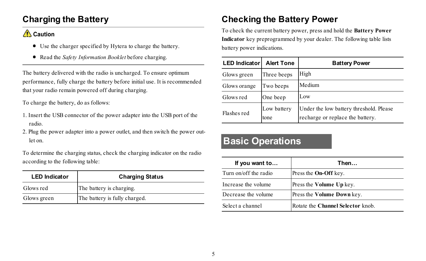#### **Charging the Battery**

#### $\bigwedge$  Caution

- · Use the charger specified by Hytera to charge the battery.
- · Read the *Safety Information Booklet* before charging.

The battery delivered with the radio is uncharged. To ensure optimum performance, fully charge the battery before initial use. It is recommended that your radio remain powered off during charging.

To charge the battery, do as follows:

- 1. Insert the USB connector of the power adapter into the USB port of the radio.
- 2. Plug the power adapter into a power outlet, and then switch the power outlet on.

To determine the charging status, check the charging indicator on the radio according to the following table:

| <b>LED</b> Indicator | <b>Charging Status</b>        |  |
|----------------------|-------------------------------|--|
| Glows red            | The battery is charging.      |  |
| Glows green          | The battery is fully charged. |  |

#### **Checking the Battery Power**

To check the current battery power, press and hold the **Battery Power Indicator** key preprogrammed by your dealer. The following table lists battery power indications.

| <b>LED Indicator</b> | <b>Alert Tone</b>   | <b>Battery Power</b>                                                        |
|----------------------|---------------------|-----------------------------------------------------------------------------|
| Glows green          | Three beeps         | High                                                                        |
| Glows orange         | Two beeps           | Medium                                                                      |
| Glows red            | One beep            | Low                                                                         |
| Flashes red          | Low battery<br>tone | Under the low battery threshold. Please<br>recharge or replace the battery. |

#### **Basic Operations**

| If you want to        | Then                              |
|-----------------------|-----------------------------------|
| Turn on/off the radio | Press the <b>On-Off</b> key.      |
| Increase the volume   | Press the Volume Up key.          |
| Decrease the volume   | Press the Volume Down key.        |
| Select a channel      | Rotate the Channel Selector knob. |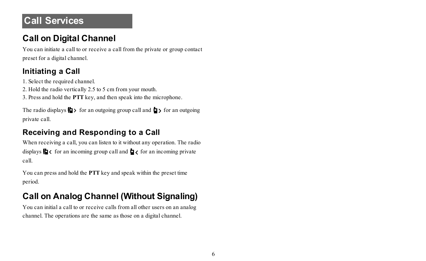## **Call Services**

#### **Call on Digital Channel**

You can initiate a call to or receive a call from the private or group contact preset for a digital channel.

#### **Initiating a Call**

1. Select the required channel.

2. Hold the radio vertically 2.5 to 5 cm from your mouth.

3. Press and hold the **PTT** key, and then speak into the microphone.

The radio displays  $\Box$  for an outgoing group call and  $\Box$  for an outgoing private call.

#### **Receiving and Responding to a Call**

When receiving a call, you can listen to it without any operation. The radio displays  $\mathbf{0} \times \mathbf{0}$  for an incoming group call and  $\mathbf{0} \times \mathbf{0}$  for an incoming private call.

You can press and hold the **PTT** key and speak within the preset time period.

## **Call on Analog Channel (Without Signaling)**

You can initial a call to or receive calls from all other users on an analog channel. The operations are the same as those on a digital channel.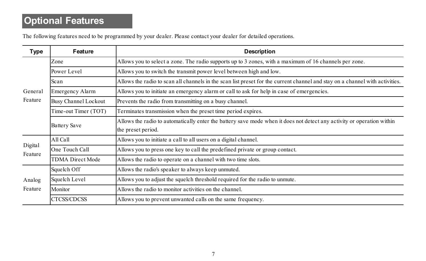# **Optional Features**

The following features need to be programmed by your dealer. Please contact your dealer for detailed operations.

| Type               | Feature                     | <b>Description</b>                                                                                                           |  |
|--------------------|-----------------------------|------------------------------------------------------------------------------------------------------------------------------|--|
|                    | Zone                        | Allows you to select a zone. The radio supports up to 3 zones, with a maximum of 16 channels per zone.                       |  |
|                    | Power Level                 | Allows you to switch the transmit power level between high and low.                                                          |  |
|                    | Scan                        | Allows the radio to scan all channels in the scan list preset for the current channel and stay on a channel with activities. |  |
| General<br>Feature | Emergency Alarm             | Allows you to initiate an emergency alarm or call to ask for help in case of emergencies.                                    |  |
|                    | <b>Busy Channel Lockout</b> | Prevents the radio from transmitting on a busy channel.                                                                      |  |
|                    | Time-out Timer (TOT)        | Terminates transmission when the preset time period expires.                                                                 |  |
|                    | Battery Save                | Allows the radio to automatically enter the battery save mode when it does not detect any activity or operation within       |  |
|                    |                             | the preset period.                                                                                                           |  |
|                    | All Call                    | Allows you to initiate a call to all users on a digital channel.                                                             |  |
| Digital<br>Feature | One Touch Call              | Allows you to press one key to call the predefined private or group contact.                                                 |  |
|                    | <b>TDMA Direct Mode</b>     | Allows the radio to operate on a channel with two time slots.                                                                |  |
| Analog<br>Feature  | Squelch Off                 | Allows the radio's speaker to always keep unmuted.                                                                           |  |
|                    | Squelch Level               | Allows you to adjust the squelch threshold required for the radio to unmute.                                                 |  |
|                    | Monitor                     | Allows the radio to monitor activities on the channel                                                                        |  |
|                    | <b>CTCSS/CDCSS</b>          | Allows you to prevent unwanted calls on the same frequency.                                                                  |  |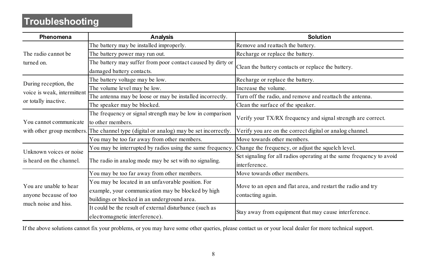# **Troubleshooting**

| Phenomena                                                              | Analysis                                                                                                                                                 | <b>Solution</b>                                                                       |
|------------------------------------------------------------------------|----------------------------------------------------------------------------------------------------------------------------------------------------------|---------------------------------------------------------------------------------------|
|                                                                        | The battery may be installed improperly.                                                                                                                 | Remove and reattach the battery.                                                      |
| The radio cannot be                                                    | The battery power may run out.                                                                                                                           | Recharge or replace the battery.                                                      |
| turned on                                                              | The battery may suffer from poor contact caused by dirty or<br>damaged battery contacts.                                                                 | Clean the battery contacts or replace the battery.                                    |
| During reception, the                                                  | The battery voltage may be low.                                                                                                                          | Recharge or replace the battery.                                                      |
| voice is weak, intermittent                                            | The volume level may be low.                                                                                                                             | Increase the volume                                                                   |
|                                                                        | The antenna may be loose or may be installed incorrectly.                                                                                                | Turn off the radio, and remove and reattach the antenna.                              |
| or totally inactive.                                                   | The speaker may be blocked.                                                                                                                              | Clean the surface of the speaker.                                                     |
| You cannot communicate                                                 | The frequency or signal strength may be low in comparison<br>to other members                                                                            | Verify your TX/RX frequency and signal strength are correct.                          |
|                                                                        | with other group members. The channel type (digital or analog) may be set incorrectly.                                                                   | Verify you are on the correct digital or analog channel.                              |
|                                                                        | You may be too far away from other members.                                                                                                              | Move towards other members                                                            |
| Unknown voices or noise                                                | You may be interrupted by radios using the same frequency.                                                                                               | Change the frequency, or adjust the squelch level.                                    |
| is heard on the channel                                                | The radio in analog mode may be set with no signaling.                                                                                                   | Set signaling for all radios operating at the same frequency to avoid<br>interference |
|                                                                        | You may be too far away from other members.                                                                                                              | Move towards other members                                                            |
| You are unable to hear<br>anyone because of too<br>much noise and hiss | You may be located in an unfavorable position. For<br>example, your communication may be blocked by high<br>buildings or blocked in an underground area. | Move to an open and flat area, and restart the radio and try<br>contacting again.     |
|                                                                        | It could be the result of external disturbance (such as<br>electromagnetic interference).                                                                | Stay away from equipment that may cause interference.                                 |

If the above solutions cannot fix your problems, or you may have some other queries, please contact us or your local dealer for more technical support.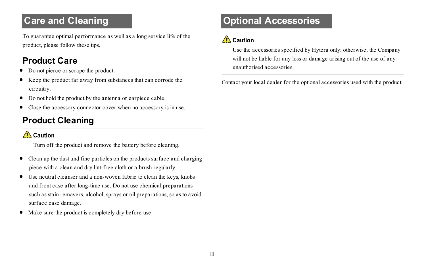## **Care and Cleaning**

To guarantee optimal performance as well as a long service life of the product, please follow these tips.

#### **Product Care**

- Do not pierce or scrape the product.
- · Keep the product far away from substances that can corrode the circuitry.
- · Do not hold the product by the antenna or earpiece cable.
- · Close the accessory connector cover when no accessory is in use.

## **Product Cleaning**

#### $\bigwedge$  Caution

Turn off the product and remove the battery before cleaning.

- Clean up the dust and fine particles on the products surface and charging piece with a clean and dry lint-free cloth or a brush regularly
- · Use neutral cleanser and a non-woven fabric to clean the keys, knobs and front case after long-time use. Do not use chemical preparations such as stain removers, alcohol, sprays or oil preparations, so as to avoid surface case damage.
- Make sure the product is completely dry before use.

# **Optional Accessories**

#### ∧ Caution

Use the accessories specified by Hytera only; otherwise, the Company will not be liable for any loss or damage arising out of the use of any unauthorised accessories.

Contact your local dealer for the optional accessories used with the product.